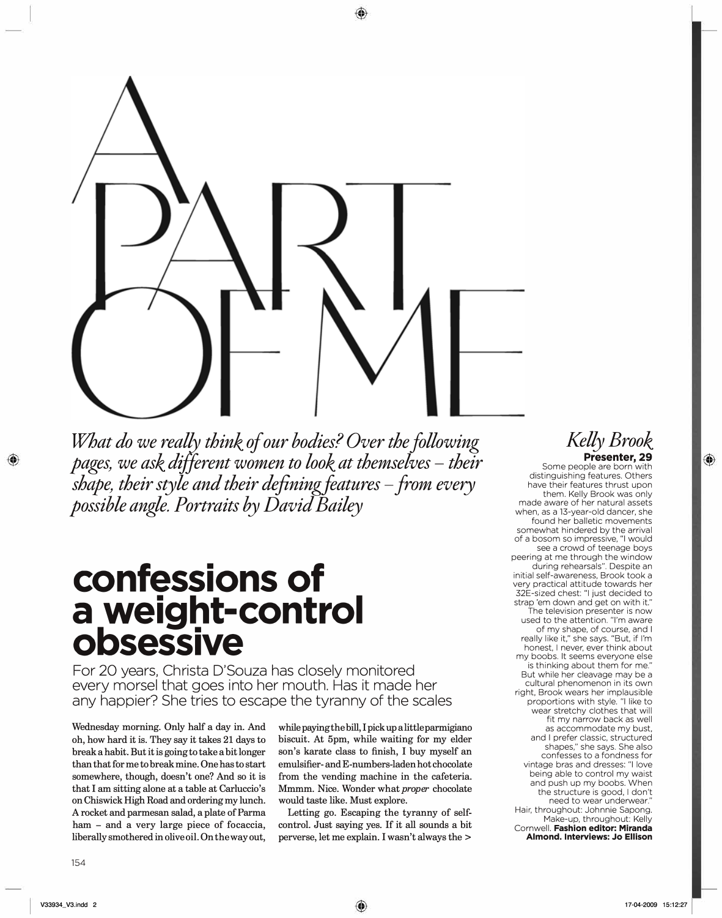

What do we really think of our bodies? Over the following *pages, we ask different women to look at themselves - their shape, their style and their definingfeatures -from every possible angle. Portraits by David Bailey* 

## **confessions of a weight-control obsessive**

For 20 years, Christa D'Souza has closely monitored every morsel that goes into her mouth. Has it made her any happier? She tries to escape the tyranny of the scales

**Wednesday morning. Only half a day in. And oh, how hard it is. They say it takes 21 days to break a habit. But it is going to take a bit longer than that for me to break mine. One has to start somewhere, though, doesn't one? And so it is that I am sitting alone at a table at Carluccio's on Chiswick High Road and ordering my lunch. A rocket and parmesan salad, a plate of Parma ham - and a very large piece of focaccia, liberally smothered in olive oil. On the way out,** 

while paying the bill, I pick up a little parmigiana biscuit. At 5pm, while waiting for my elder son's karate class to finish, I buy myself an emulsifier- and E-numbers-laden hot chocolate from the vending machine in the cafeteria. Mmmm. Nice. Wonder what *proper* chocolate would taste like. Must explore.

Letting go. Escaping the tyranny of selfcontrol. Just saying yes. If it all sounds a bit perverse, let me explain. I wasn't always the >

## *Kelly Brook*  Presenter, 29

Some people are born with distinguishing features. Others have their features thrust upon them. Kelly Brook was only made aware of her natural assets when, as a 13-year-old dancer, she found her balletic movements somewhat hindered by the arrival of a bosom so impressive, "I would see a crowd of teenage boys peering at me through the window during rehearsals". Despite an initial self-awareness, Brook took a very practical attitude towards her 32E-sized chest: "I just decided to strap 'em down and get on with it." The television presenter is now used to the attention. "I'm aware of my shape, of course, and I really like it," she says. "But, if I'm honest, I never, ever think about my boobs. It seems everyone else is thinking about them for me." But while her cleavage may be a cultural phenomenon in its own right, Brook wears her implausible proportions with style. "I like to wear stretchy clothes that will fit my narrow back as well as accommodate my bust, and I prefer classic, structured shapes," she says. She also confesses to a fondness for vintage bras and dresses: "I love being able to control my waist and push up my boobs. When the structure is good, I don't need to wear underwear." Hair, throughout: Johnnie Sapong. Make-up, throughout: Kelly Cornwell. **Fashion editor: Miranda Almond. Interviews: Jo Ellison**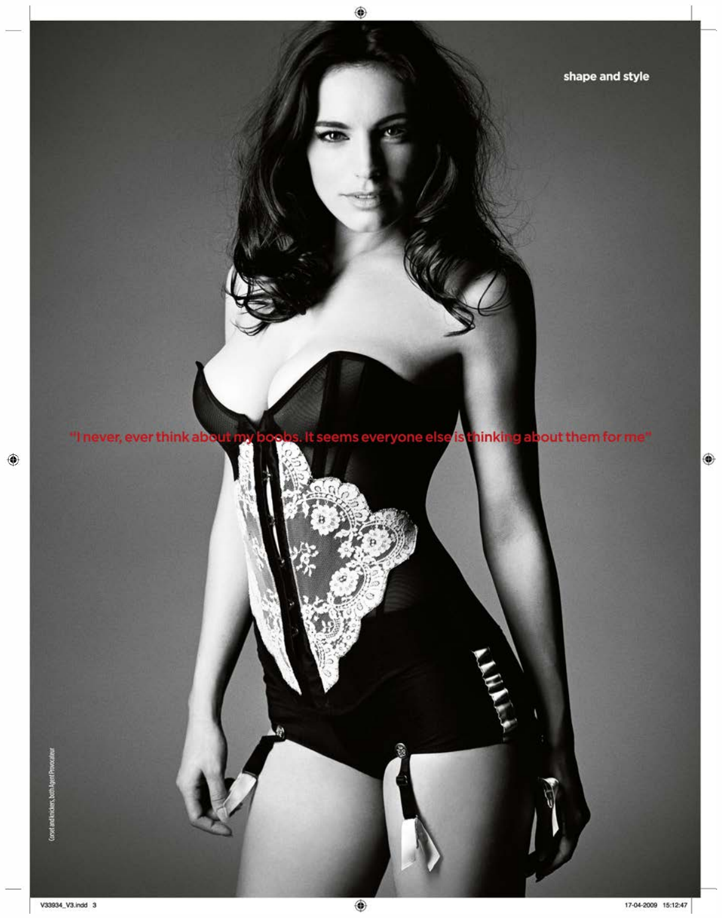ms everyone <mark>else</mark> is thinking about them for me" "I never, ever think abo

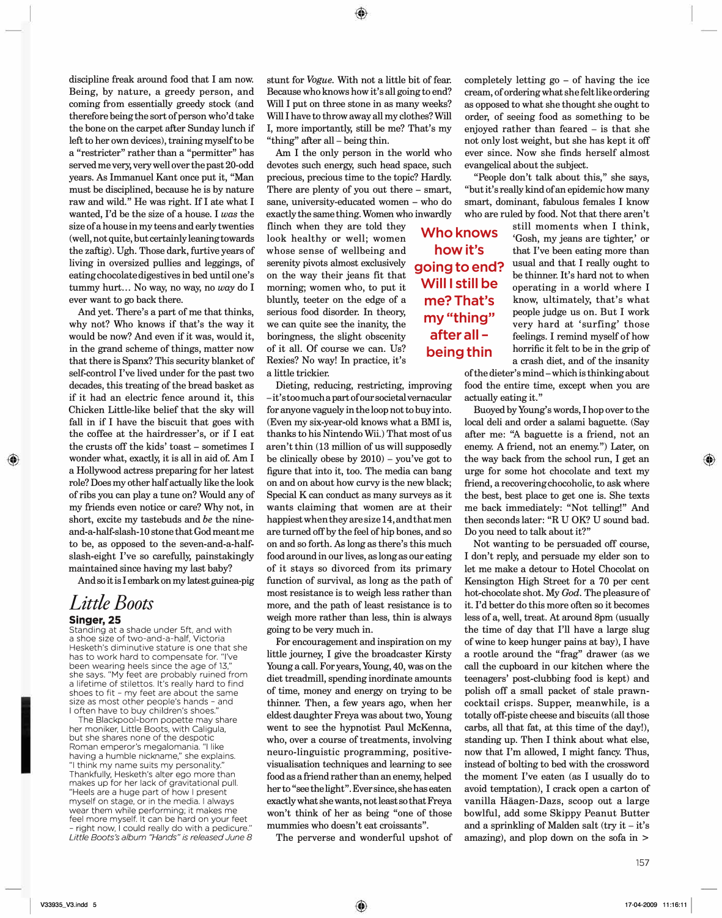discipline freak around food that I am now. Being, by nature, a greedy person, and coming from essentially greedy stock (and therefore being the sort of person who'd take the bone on the carpet after Sunday lunch if left to her own devices), training myself to be a "restricter" rather than a "permitter" has served me very, very well over the past 20-odd years. As Immanuel Kant once put it, "Man must be disciplined, because he is by nature raw and wild." He was right. If I ate what I wanted, I'd be the size of a house. I *was* the size of a house in my teens and early twenties ( well, not quite, but certainly leaning towards the zaftig). Ugh. Those dark, furtive years of living **in** oversized pullies and leggings, of eating chocolate digestives **in** bed until one's tummy hurt ... No way, no way, no *way* do I ever want to go back there.

And yet. There's a part of me that thinks, why not? Who knows if that's the way it would be now? And even if it was, would it, in the grand scheme of things, matter now that there is Spanx? This security blanket of self-control I've lived under for the past two decades, this treating of the bread basket as if it had an electric fence around it, this Chicken Little-like belief that the sky will fall in if I have the biscuit that goes with the coffee at the hairdresser's, or if I eat the crusts off the kids' toast - sometimes I wonder what, exactly, it is all in aid of. Am I a Hollywood actress preparing for her latest role? Does my other half actually like the look of ribs you can play a tune on? Would any of my friends even notice or care? Why not, in short, excite my tastebuds and *be* the nineand-a-half-slash-10 stone that God meant me to be, as opposed to the seven-and-a-halfslash-eight I've so carefully, painstakingly maintained since having my last baby?

And so it is I embark on my latest guinea-pig

## *Little Boots*  **Singer, 25**

Standing at a shade under 5ft, and with a shoe size of two-and-a-half, Victoria Hesketh's diminutive stature is one that she has to work hard to compensate for. "I've been wearing heels since the age of 13," she says. "My feet are probably ruined from a lifetime of stilettos. It's really hard to find shoes to fit - my feet are about the same size as most other people's hands - and I often have to buy children's shoes."

The Blackpool-born popette may share her moniker, Little Boots, with Caligula, but she shares none of the despotic Roman emperor's megalomania. "I like having a humble nickname," she explains. "I think my name suits my personality." Thankfully, Hesketh's alter ego more than makes up for her lack of gravitational pull. "Heels are a huge part of how I present myself on stage, or in the media. I always wear them while performing; it makes me feel more myself. It can be hard on your feet - right now, I could really do with a pedicure." *Little Boots's album "Hands" is released June 8*  stunt for *Vogue.* With not a little bit of fear. Because who knows how it's all going to end? Will I put on three stone in as many weeks? **Will** I have to throw away all my clothes? **Will**  I, more importantly, still be me? That's my "thing" after all – being thin.

Am I the only person in the world who devotes such energy, such head space, such precious, precious time to the topic? Hardly. There are plenty of you out there - smart, sane, university-educated women - who do exactly the same thing. Women who inwardly

flinch when they are told they **Who knows** look healthy or well; women whose sense of wellbeing and serenity pivots almost exclusively on the way their jeans fit that morning; women who, to put it bluntly, teeter on the edge of a serious food disorder. In theory, we can quite see the inanity, the boringness, the slight obscenity of it all. Of course we can. Us? Rexies? No way! In practice, it's a little trickier.

Dieting, reducing, restricting, improving -it's too much a part of our societal vernacular for anyone vaguely in the loop not to buy into. (Even my six-year-old knows what a **BMI** is, thanks to his Nintendo **Wii.)** That most of us aren't thin (13 million of us will supposedly be clinically obese by  $2010$ ) – you've got to figure that into it, too. The media can bang on and on about how curvy is the new black; Special K can conduct as many surveys as it wants claiming that women are at their happiest when they are size 14, and that men are turned off by the feel of hip bones, and so on and so forth. As long as there's this much food around in our lives, as long as our eating of it stays so divorced from its primary function of survival, as long as the path of most resistance is to weigh less rather than more, and the path of least resistance is to weigh more rather than less, thin is always going to be very much in.

For encouragement and inspiration on my little journey, I give the broadcaster Kirsty Young a call. For years, Young, 40, was on the diet treadmill, spending inordinate amounts of time, money and energy on trying to be thinner. Then, a few years ago, when her eldest daughter Freya was about two, Young went to see the hypnotist Paul McKenna, who, over a course of treatments, involving neuro-linguistic programming, positivevisualisation techniques and learning to see food as a friend rather than an enemy, helped her to "see the light". Ever since, she has eaten exactly what she wants, not least so that Freya won't think of her as being "one of those mummies who doesn't eat croissants".

The perverse and wonderful upshot of

completely letting go - of having the ice cream, of ordering what she felt like ordering as opposed to what she thought she ought to order, of seeing food as something to be enjoyed rather than feared - is that she not only lost weight, but she has kept it off ever since. Now she finds herself almost evangelical about the subject.

"People don't talk about this," she says, "but it's really kind of an epidemic how many smart, dominant, fabulous females I know who are ruled by food. Not that there aren't

**how it's going to end? Will I still be me?That's my "thing" after all being thin** 

still moments when I think, 'Gosh, my jeans are tighter,' or that I've been eating more than usual and that I really ought to be thinner. It's hard not to when operating in a world where I know, ultimately, that's what people judge us on. But I work very hard at 'surfing' those feelings. I remind myself of how horrific it felt to be in the grip of a crash diet, and of the insanity

of the dieter's mind -which is thinking about food the entire time, except when you are actually eating it."

Buoyed by Young's words, I hop over to the local deli and order a salami baguette. (Say after me: "A baguette is a friend, not an enemy. A friend, not an enemy.") Later, on the way back from the school run, I get an urge for some hot chocolate and text my friend, a recovering chocoholic, to ask where the best, best place to get one is. She texts me back immediately: "Not telling!" And then seconds later: "R U OK? U sound bad. Do you need to talk about it?"

Not wanting to be persuaded off course, I don't reply, and persuade my elder son to let me make a detour to Hotel Chocolat on Kensington High Street for a 70 per cent hot-chocolate shot. My *God.* The pleasure of it. I'd better do this more often so it becomes less of a, well, treat. At around 8pm (usually the time of day that I'll have a large slug of wine to keep hunger pains at bay), I have a rootle around the "frag" drawer (as we call the cupboard in our kitchen where the teenagers' post-clubbing food is kept) and polish off a small packet of stale prawncocktail crisps. Supper, meanwhile, is a totally off-piste cheese and biscuits (all those carbs, all that fat, at this time of the day!), standing up. Then I think about what else, now that I'm allowed, I might fancy. Thus, instead of bolting to bed with the crossword the moment I've eaten (as I usually do to avoid temptation), I crack open a carton of vanilla Häagen-Dazs, scoop out a large bowlful, add some Skippy Peanut Butter and a sprinkling of Malden salt (try it  $-$  it's amazing), and plop down on the sofa in >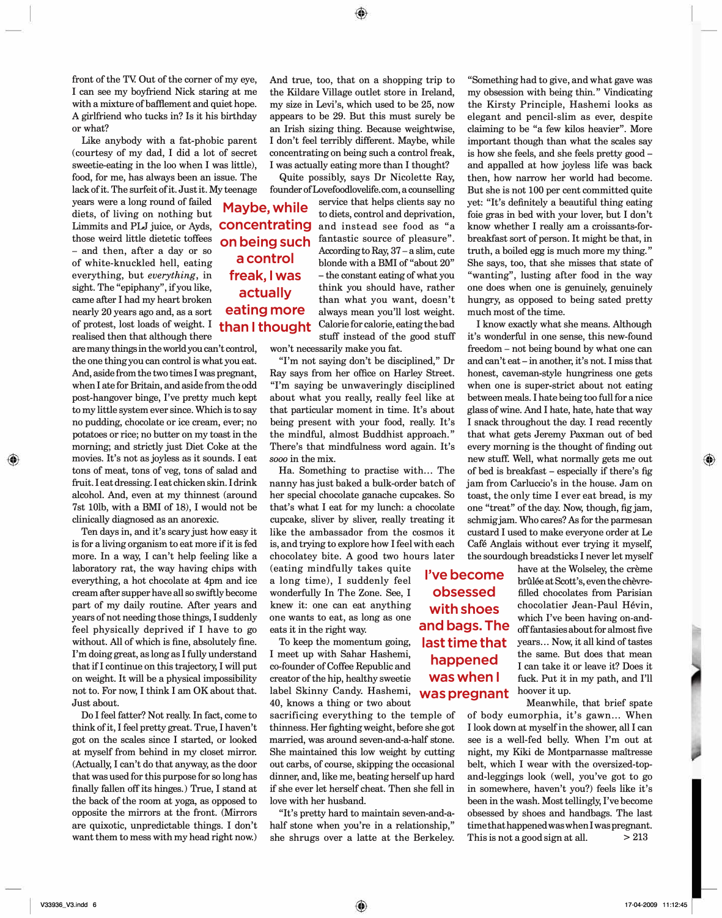front of the TV. Out of the corner of my eye, I can see my boyfriend Nick staring at me with a mixture of baffiement and quiet hope. A girlfriend who tucks in? Is it his birthday or what?

Like anybody with a fat-phobic parent (courtesy of my dad, I did a lot of secret sweetie-eating in the loo when I was little), food, for me, has always been an issue. The lack of it. The surfeit of it. Just it. My teenage

years were a long round of failed diets, of living on nothing but Limmits and PLJ juice, or Ayds, those weird little dietetic toffees - and then, after a day or so of white-knuckled hell, eating everything, but *everything,* in sight. The "epiphany", if you like, came after I had my heart broken nearly 20 years ago and, as a sort of protest, lost loads of weight. I than I thought realised then that although there

are many things in the world you can't control, the one thing you can control is what you eat. And, aside from the two times I was pregnant, when I ate for Britain, and aside from the odd post-hangover binge, I've pretty much kept to my little system ever since. Which is to say no pudding, chocolate or ice cream, ever; no potatoes or rice; no butter on my toast in the morning; and strictly just Diet Coke at the movies. It's not as joyless as it sounds. I eat tons of meat, tons of veg, tons of salad and fruit. I eat dressing. I eat chicken skin. I drink alcohol. And, even at my thinnest (around 7st 101b, with a BMI of 18), I would not be clinically diagnosed as an anorexic.

Ten days in, and it's scary just how easy it is for a living organism to eat more if it is fed more. In a way, I can't help feeling like a laboratory rat, the way having chips with everything, a hot chocolate at 4pm and ice cream after supper have all so swiftly become part of my daily routine. After years and years of not needing those things, I suddenly feel physically deprived if I have to go without. All of which is fine, absolutely fine. I'm doing great, as long as I fully understand that ifl continue on this trajectory, I will put on weight. It will be a physical impossibility not to. For now, I think I am OK about that. Just about.

Do I feel fatter? Not really. In fact, come to think of it, I feel pretty great. True, I haven't got on the scales since I started, or looked at myself from behind in my closet mirror. (Actually, I can't do that anyway, as the door that was used for this purpose for so long has finally fallen off its hinges.) True, I stand at the back of the room at yoga, as opposed to opposite the mirrors at the front. (Mirrors are quixotic, unpredictable things. I don't want them to mess with my head right now.) And true, too, that on a shopping trip to the Kildare Village outlet store in Ireland, my size in Levi's, which used to be 25, now appears to be 29. But this must surely be an Irish sizing thing. Because weightwise, I don't feel terribly different. Maybe, while concentrating on being such a control freak, I was actually eating more than I thought?

Quite possibly, says Dr Nicolette Ray, founder ofLovefoodlovelife.com, a counselling

**Maybe, while concentrating on being such a control**  service that helps clients say no to diets, control and deprivation, and instead see food as "a fantastic source of pleasure". According to Ray,  $37 - a$  slim, cute blonde with a BMI of "about 20" - the constant eating of what you think you should have, rather than what you want, doesn't always mean you'll lost weight. Calorie for calorie, eating the bad stuff instead of the good stuff **freak, I was actually eating more** 

won't necessarily make you fat.

"I'm not saying don't be disciplined," Dr Ray says from her office on Harley Street. "I'm saying be unwaveringly disciplined about what you really, really feel like at that particular moment in time. It's about being present with your food, really. It's the mindful, almost Buddhist approach." There's that mindfulness word again. It's *sooo* in the mix.

Ha. Something to practise with... The nanny has just baked a bulk-order batch of her special chocolate ganache cupcakes. So that's what I eat for my lunch: a chocolate cupcake, sliver by sliver, really treating it like the ambassador from the cosmos it is, and trying to explore how I feel with each chocolatey bite. A good two hours later

(eating mindfully takes quite a long time), I suddenly feel wonderfully In The Zone. See, I knew it: one can eat anything one wants to eat, as long as one eats it in the right way.

To keep the momentum going, I meet up with Sahar Hashemi, co-founder of Coffee Republic and creator of the hip, healthy sweetie label Skinny Candy. Hashemi, **was pregnant**  40, knows a thing or two about

sacrificing everything to the temple of thinness. Her fighting weight, before she got married, was around seven-and-a-half stone. She maintained this low weight by cutting out carbs, of course, skipping the occasional dinner, and, like me, beating herself up hard if she ever let herself cheat. Then she fell in love with her husband.

"It's pretty hard to maintain seven-and-ahalf stone when you're in a relationship," she shrugs over a latte at the Berkeley. This is not a good sign at all.  $>213$ 

"Something had to give, and what gave was my obsession with being thin." Vindicating the Kirsty Principle, Hashemi looks as elegant and pencil-slim as ever, despite claiming to be "a few kilos heavier". More important though than what the scales say is how she feels, and she feels pretty good and appalled at how joyless life was back then, how narrow her world had become. But she is not 100 per cent committed quite yet: "It's definitely a beautiful thing eating foie gras in bed with your lover, but I don't know whether I really am a croissants-forbreakfast sort of person. It might be that, in truth, a boiled egg is much more my thing." She says, too, that she misses that state of "wanting", lusting after food in the way one does when one is genuinely, genuinely hungry, as opposed to being sated pretty much most of the time.

I know exactly what she means. Although it's wonderful in one sense, this new-found freedom – not being bound by what one can and can't eat - in another, it's not. I miss that honest, caveman-style hungriness one gets when one is super-strict about not eating between meals. I hate being too full for a nice glass of wine. And I hate, hate, hate that way I snack throughout the day. I read recently that what gets Jeremy Paxman out of bed every morning is the thought of finding out new stuff. Well, what normally gets me out of bed is breakfast - especially if there's fig jam from Carluccio's in the house. Jam on toast, the only time I ever eat bread, is my one "treat" of the day. Now, though, fig jam, schmig jam. Who cares? As for the parmesan custard I used to make everyone order at Le Cafe Anglais without ever trying it myself, the sourdough breadsticks I never let myself

**I've become obsessed with shoes and bags. The last time that happened was when I** 

have at the Wolseley, the crème brûlée at Scott's, even the chèvrefilled chocolates from Parisian chocolatier Jean-Paul Hevin, which I've been having on-andoff fantasies about for almost five years ... Now, it all kind of tastes the same. But does that mean I can take it or leave it? Does it fuck. Put it in my path, and I'll hoover it up.

Meanwhile, that brief spate of body eumorphia, it's gawn ... When I look down at myself in the shower, all I can see is a well-fed belly. When I'm out at night, my Kiki de Montparnasse maitresse belt, which I wear with the oversized-topand-leggings look (well, you've got to go in somewhere, haven't you?) feels like it's been in the wash. Most tellingly, I've become obsessed by shoes and handbags. The last time that happened was when I was pregnant.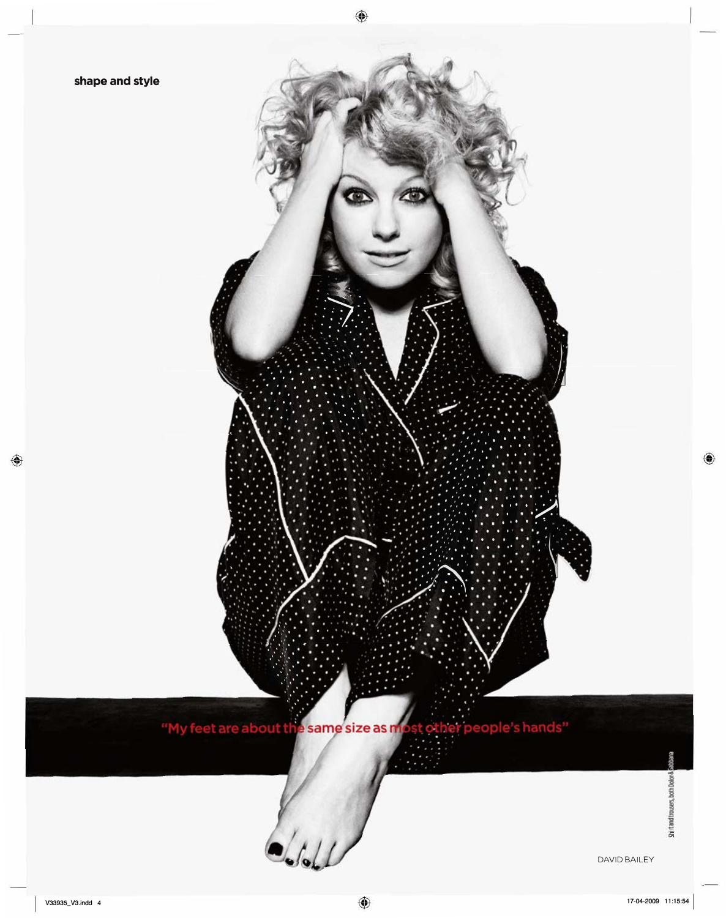

رەك